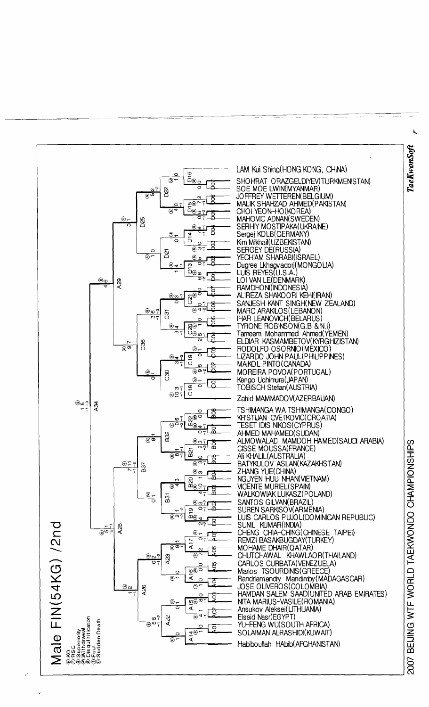

TaeKwonSoft

2007 BEIJING WTF WORLD TAEKWONDO CHAMPIONSHIPS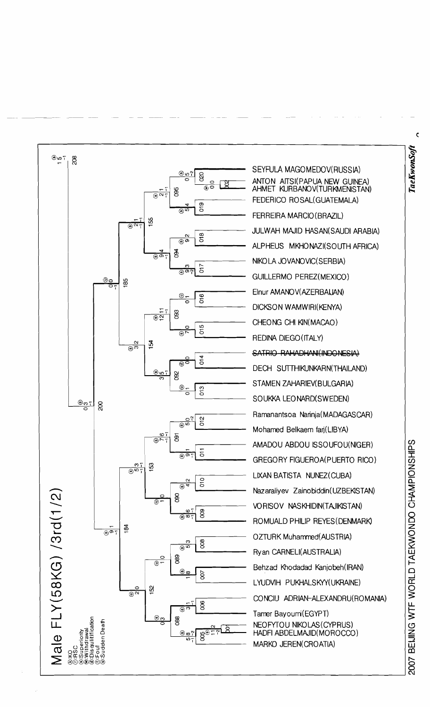

 $\bar{\mathbf{C}}$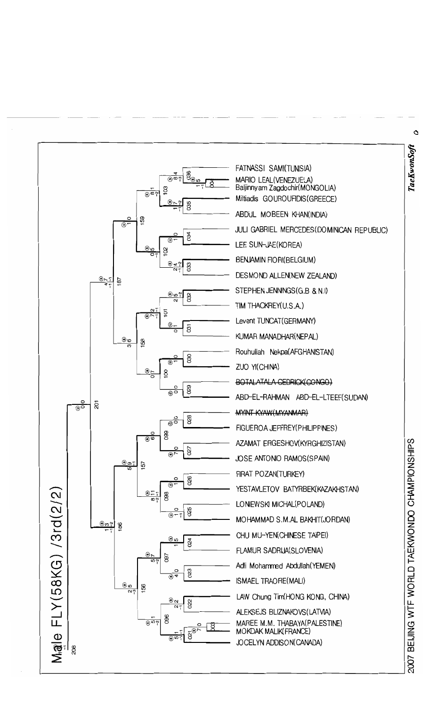

Ó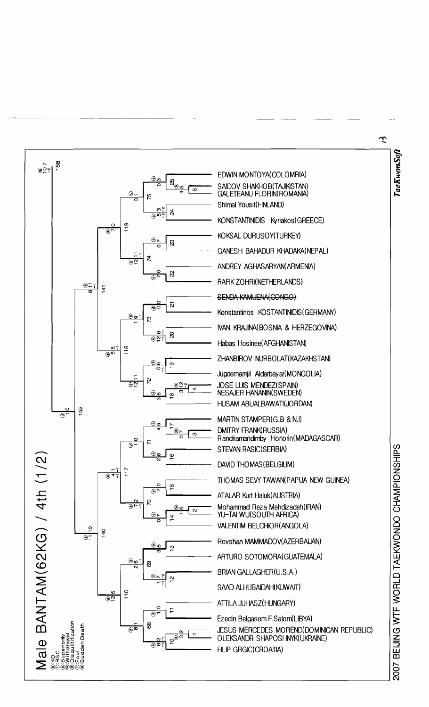

べ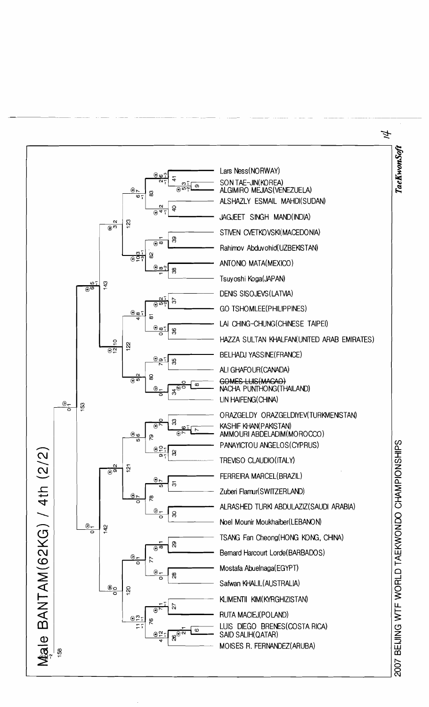## 斗

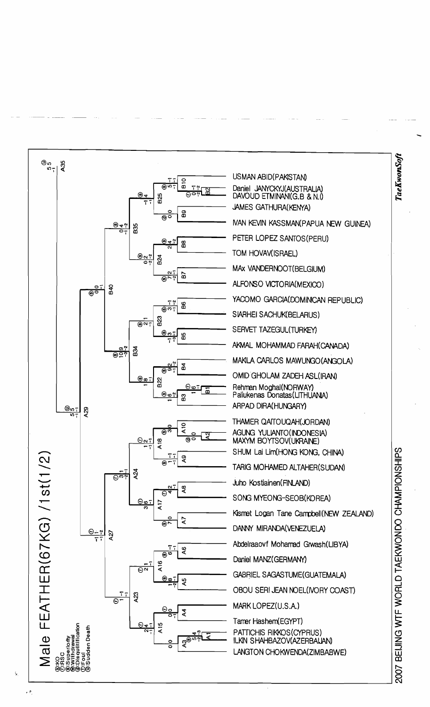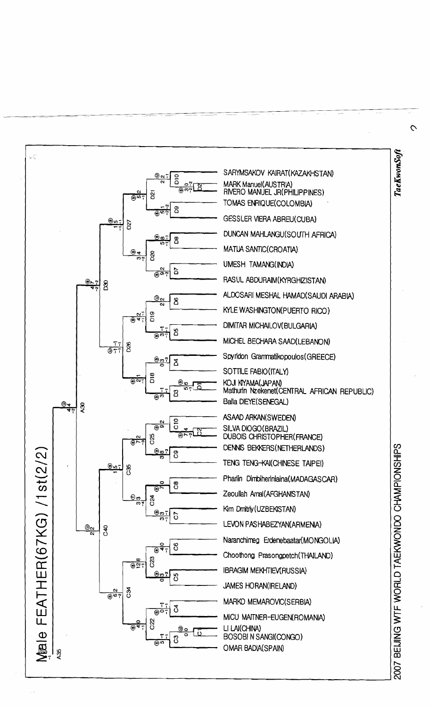

 $\overline{C}$ 

TaeKwonSoft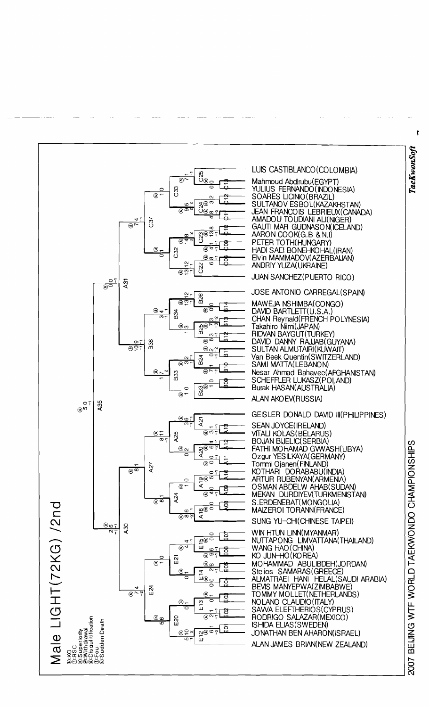

 $\mathbf{r}$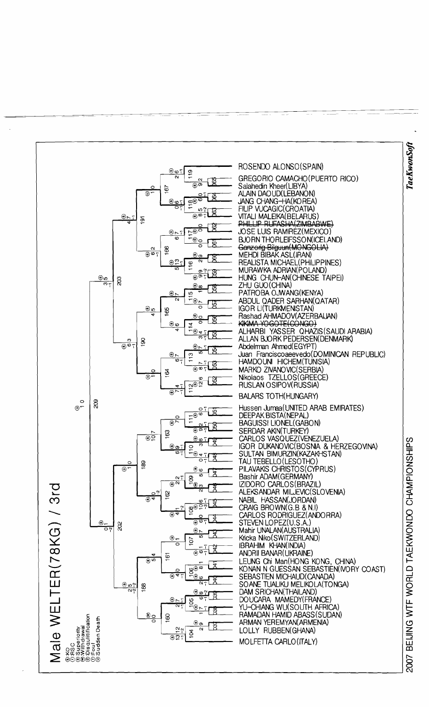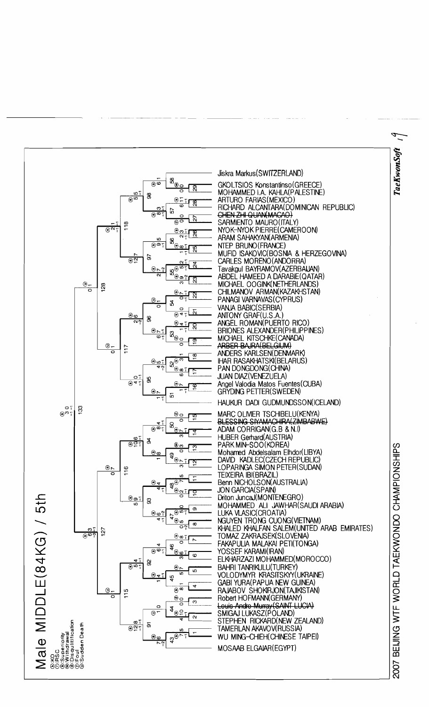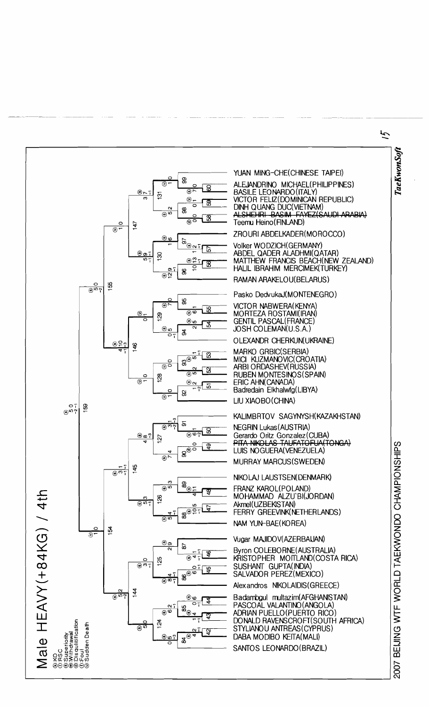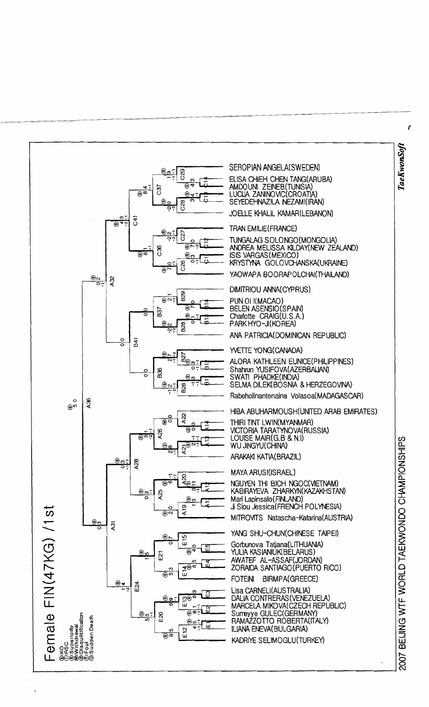

 $\epsilon$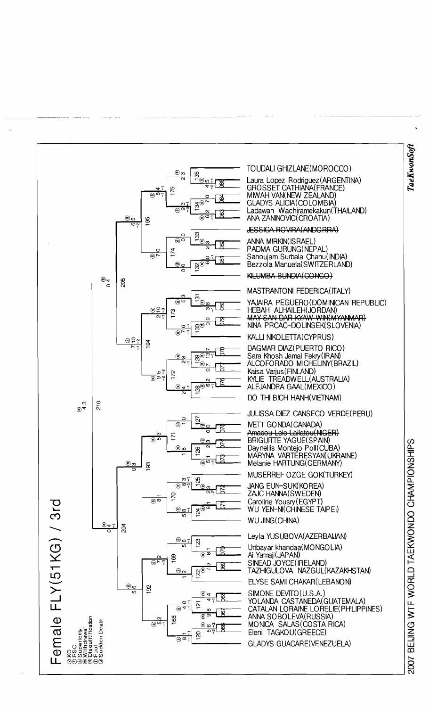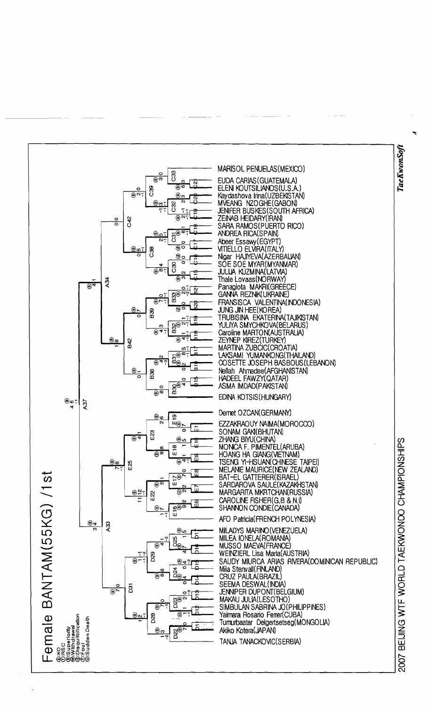

## TaeKwonSoft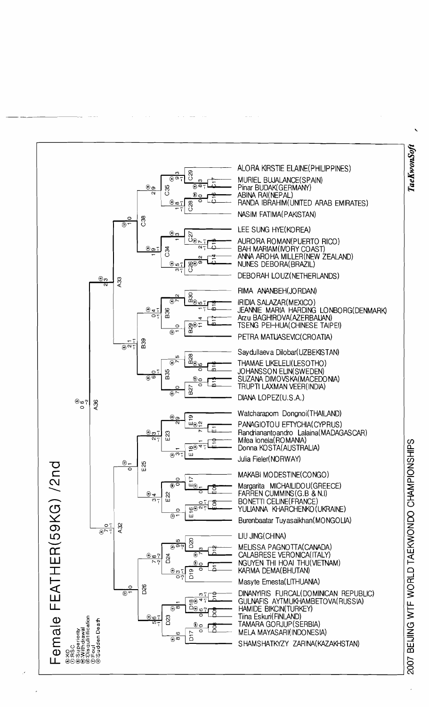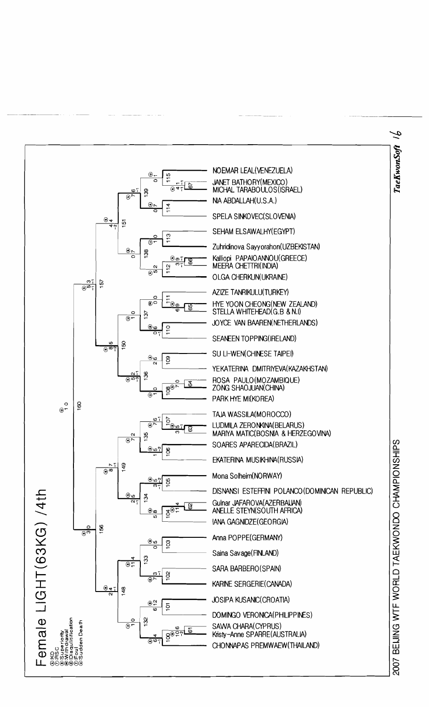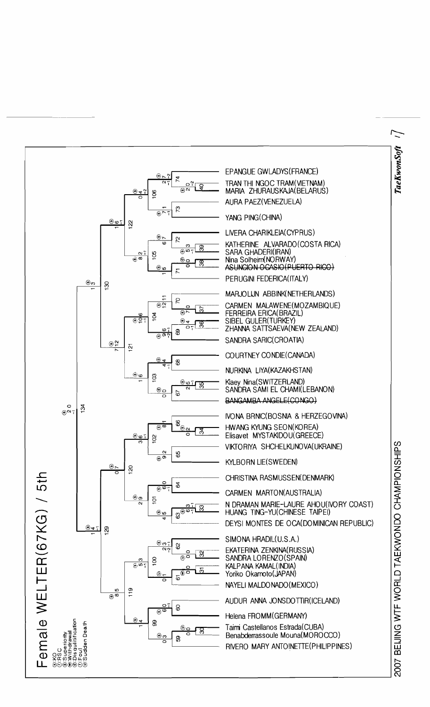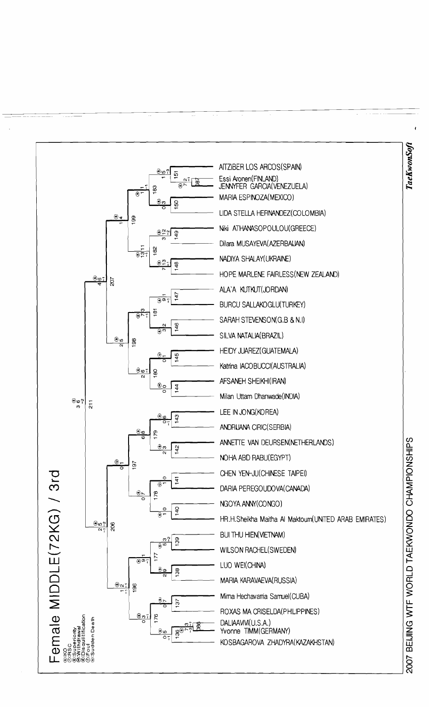